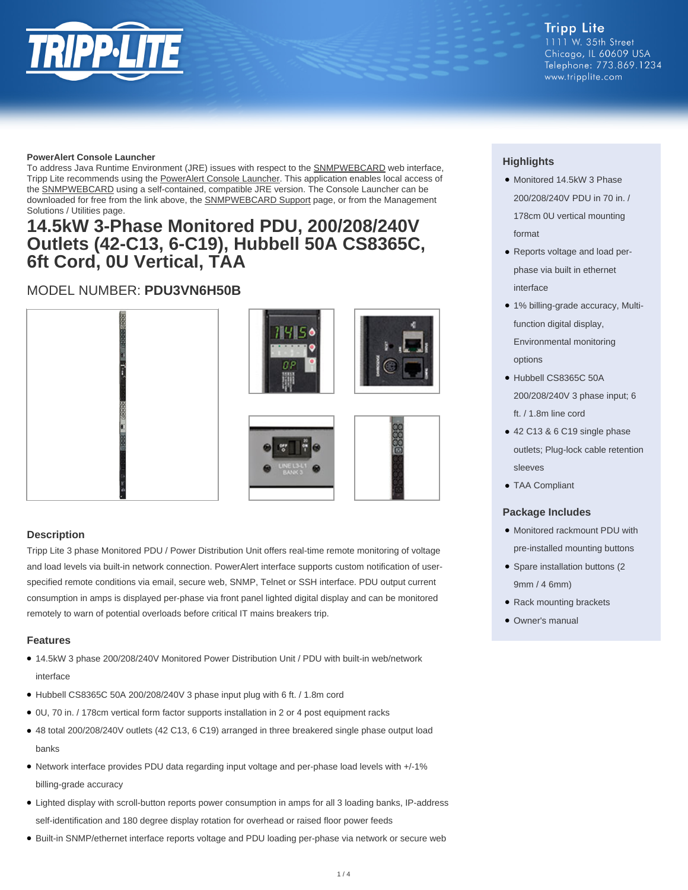

#### **PowerAlert Console Launcher**

To address Java Runtime Environment (JRE) issues with respect to the **SNMPWEBCARD** web interface, Tripp Lite recommends using the [PowerAlert Console Launcher.](https://assets.tripplite.com/software/poweralert-console-launcher.zip) This application enables local access of the **SNMPWEBCARD** using a self-contained, compatible JRE version. The Console Launcher can be downloaded for free from the link above, the **SNMPWEBCARD** Support page, or from the Management Solutions / Utilities page.

### **14.5kW 3-Phase Monitored PDU, 200/208/240V Outlets (42-C13, 6-C19), Hubbell 50A CS8365C, 6ft Cord, 0U Vertical, TAA**

### MODEL NUMBER: **PDU3VN6H50B**



#### **Description**

Tripp Lite 3 phase Monitored PDU / Power Distribution Unit offers real-time remote monitoring of voltage and load levels via built-in network connection. PowerAlert interface supports custom notification of userspecified remote conditions via email, secure web, SNMP, Telnet or SSH interface. PDU output current consumption in amps is displayed per-phase via front panel lighted digital display and can be monitored remotely to warn of potential overloads before critical IT mains breakers trip.

#### **Features**

- 14.5kW 3 phase 200/208/240V Monitored Power Distribution Unit / PDU with built-in web/network interface
- Hubbell CS8365C 50A 200/208/240V 3 phase input plug with 6 ft. / 1.8m cord
- 0U, 70 in. / 178cm vertical form factor supports installation in 2 or 4 post equipment racks
- 48 total 200/208/240V outlets (42 C13, 6 C19) arranged in three breakered single phase output load banks
- Network interface provides PDU data regarding input voltage and per-phase load levels with +/-1% billing-grade accuracy
- Lighted display with scroll-button reports power consumption in amps for all 3 loading banks, IP-address self-identification and 180 degree display rotation for overhead or raised floor power feeds
- Built-in SNMP/ethernet interface reports voltage and PDU loading per-phase via network or secure web

#### **Highlights**

- Monitored 14.5kW 3 Phase 200/208/240V PDU in 70 in. / 178cm 0U vertical mounting format
- Reports voltage and load perphase via built in ethernet interface
- 1% billing-grade accuracy, Multifunction digital display, Environmental monitoring options
- Hubbell CS8365C 50A 200/208/240V 3 phase input; 6 ft. / 1.8m line cord
- 42 C13 & 6 C19 single phase outlets; Plug-lock cable retention sleeves
- TAA Compliant

#### **Package Includes**

- Monitored rackmount PDU with pre-installed mounting buttons
- Spare installation buttons (2 9mm / 4 6mm)
- Rack mounting brackets
- Owner's manual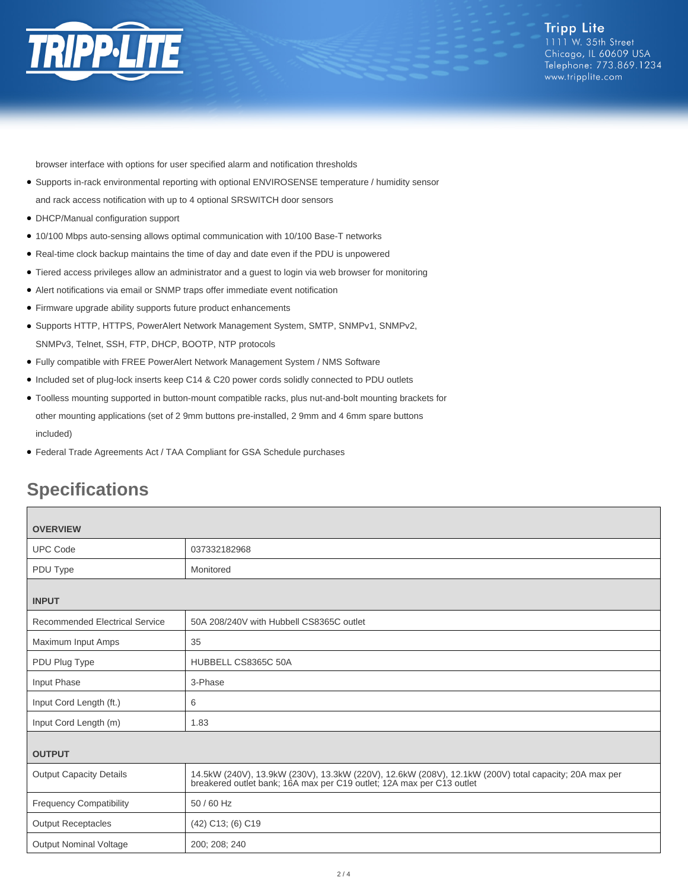

browser interface with options for user specified alarm and notification thresholds

- Supports in-rack environmental reporting with optional ENVIROSENSE temperature / humidity sensor
- and rack access notification with up to 4 optional SRSWITCH door sensors
- DHCP/Manual configuration support
- 10/100 Mbps auto-sensing allows optimal communication with 10/100 Base-T networks
- Real-time clock backup maintains the time of day and date even if the PDU is unpowered
- Tiered access privileges allow an administrator and a guest to login via web browser for monitoring
- Alert notifications via email or SNMP traps offer immediate event notification
- Firmware upgrade ability supports future product enhancements
- Supports HTTP, HTTPS, PowerAlert Network Management System, SMTP, SNMPv1, SNMPv2, SNMPv3, Telnet, SSH, FTP, DHCP, BOOTP, NTP protocols
- Fully compatible with FREE PowerAlert Network Management System / NMS Software
- Included set of plug-lock inserts keep C14 & C20 power cords solidly connected to PDU outlets
- Toolless mounting supported in button-mount compatible racks, plus nut-and-bolt mounting brackets for other mounting applications (set of 2 9mm buttons pre-installed, 2 9mm and 4 6mm spare buttons included)
- Federal Trade Agreements Act / TAA Compliant for GSA Schedule purchases

## **Specifications**

| <b>OVERVIEW</b>                       |                                                                                                                                                                                |  |
|---------------------------------------|--------------------------------------------------------------------------------------------------------------------------------------------------------------------------------|--|
| <b>UPC Code</b>                       | 037332182968                                                                                                                                                                   |  |
| PDU Type                              | Monitored                                                                                                                                                                      |  |
| <b>INPUT</b>                          |                                                                                                                                                                                |  |
| <b>Recommended Electrical Service</b> | 50A 208/240V with Hubbell CS8365C outlet                                                                                                                                       |  |
| Maximum Input Amps                    | 35                                                                                                                                                                             |  |
| PDU Plug Type                         | HUBBELL CS8365C 50A                                                                                                                                                            |  |
| Input Phase                           | 3-Phase                                                                                                                                                                        |  |
| Input Cord Length (ft.)               | 6                                                                                                                                                                              |  |
| Input Cord Length (m)                 | 1.83                                                                                                                                                                           |  |
| <b>OUTPUT</b>                         |                                                                                                                                                                                |  |
| <b>Output Capacity Details</b>        | 14.5kW (240V), 13.9kW (230V), 13.3kW (220V), 12.6kW (208V), 12.1kW (200V) total capacity; 20A max per<br>breakered outlet bank; 16A max per C19 outlet; 12A max per C13 outlet |  |
| <b>Frequency Compatibility</b>        | 50 / 60 Hz                                                                                                                                                                     |  |
| <b>Output Receptacles</b>             | (42) C13; (6) C19                                                                                                                                                              |  |
| <b>Output Nominal Voltage</b>         | 200; 208; 240                                                                                                                                                                  |  |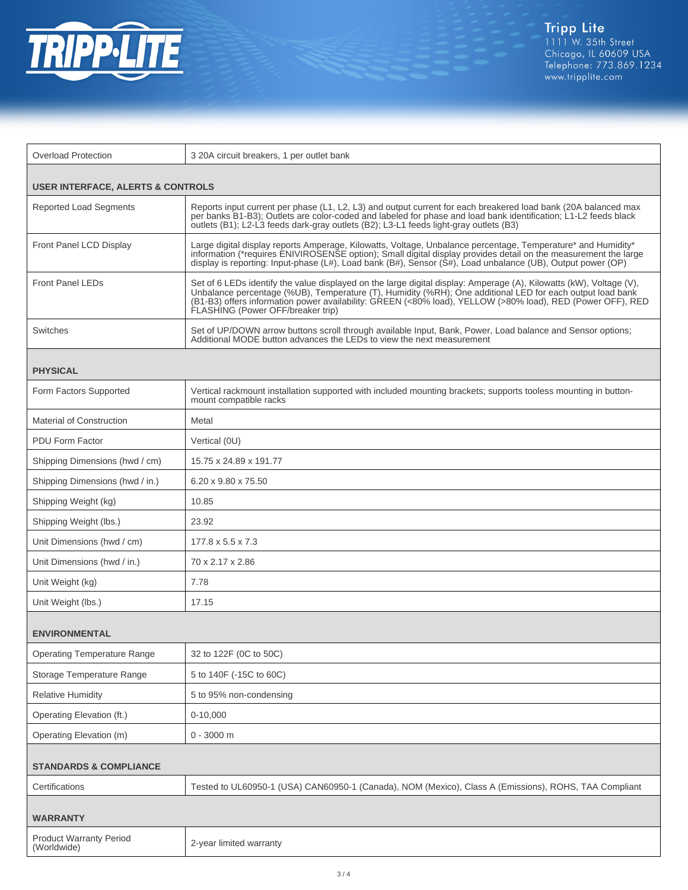

| <b>Overload Protection</b>                                                    | 3 20A circuit breakers, 1 per outlet bank                                                                                                                                                                                                                                                                                                                                           |  |
|-------------------------------------------------------------------------------|-------------------------------------------------------------------------------------------------------------------------------------------------------------------------------------------------------------------------------------------------------------------------------------------------------------------------------------------------------------------------------------|--|
|                                                                               |                                                                                                                                                                                                                                                                                                                                                                                     |  |
| <b>USER INTERFACE, ALERTS &amp; CONTROLS</b><br><b>Reported Load Segments</b> | Reports input current per phase (L1, L2, L3) and output current for each breakered load bank (20A balanced max                                                                                                                                                                                                                                                                      |  |
|                                                                               | per banks B1-B3); Outlets are color-coded and labeled for phase and load bank identification; L1-L2 feeds black<br>outlets (B1); L2-L3 feeds dark-gray outlets (B2); L3-L1 feeds light-gray outlets (B3)                                                                                                                                                                            |  |
| Front Panel LCD Display                                                       | Large digital display reports Amperage, Kilowatts, Voltage, Unbalance percentage, Temperature* and Humidity*<br>information (*requires ENIVIROSENSE option); Small digital display provides detail on the measurement the large<br>display is reporting: Input-phase (L#), Load bank (B#), Sensor (S#), Load unbalance (UB), Output power (OP)                                      |  |
| <b>Front Panel LEDs</b>                                                       | Set of 6 LEDs identify the value displayed on the large digital display: Amperage (A), Kilowatts (kW), Voltage (V),<br>Unbalance percentage (%UB), Temperature (T), Humidity (%RH); One additional LED for each output load bank<br>(B1-B3) offers information power availability: GREEN (<80% load). YELLOW (>80% load). RED (Power OFF). RED<br>FLASHING (Power OFF/breaker trip) |  |
| Switches                                                                      | Set of UP/DOWN arrow buttons scroll through available Input, Bank, Power, Load balance and Sensor options;<br>Additional MODE button advances the LEDs to view the next measurement                                                                                                                                                                                                 |  |
| <b>PHYSICAL</b>                                                               |                                                                                                                                                                                                                                                                                                                                                                                     |  |
| Form Factors Supported                                                        | Vertical rackmount installation supported with included mounting brackets; supports tooless mounting in button-<br>mount compatible racks                                                                                                                                                                                                                                           |  |
| Material of Construction                                                      | Metal                                                                                                                                                                                                                                                                                                                                                                               |  |
| <b>PDU Form Factor</b>                                                        | Vertical (0U)                                                                                                                                                                                                                                                                                                                                                                       |  |
| Shipping Dimensions (hwd / cm)                                                | 15.75 x 24.89 x 191.77                                                                                                                                                                                                                                                                                                                                                              |  |
| Shipping Dimensions (hwd / in.)                                               | 6.20 x 9.80 x 75.50                                                                                                                                                                                                                                                                                                                                                                 |  |
| Shipping Weight (kg)                                                          | 10.85                                                                                                                                                                                                                                                                                                                                                                               |  |
| Shipping Weight (lbs.)                                                        | 23.92                                                                                                                                                                                                                                                                                                                                                                               |  |
| Unit Dimensions (hwd / cm)                                                    | $177.8 \times 5.5 \times 7.3$                                                                                                                                                                                                                                                                                                                                                       |  |
| Unit Dimensions (hwd / in.)                                                   | 70 x 2.17 x 2.86                                                                                                                                                                                                                                                                                                                                                                    |  |
| Unit Weight (kg)                                                              | 7.78                                                                                                                                                                                                                                                                                                                                                                                |  |
| Unit Weight (lbs.)                                                            | 17.15                                                                                                                                                                                                                                                                                                                                                                               |  |
| <b>ENVIRONMENTAL</b>                                                          |                                                                                                                                                                                                                                                                                                                                                                                     |  |
| <b>Operating Temperature Range</b>                                            | 32 to 122F (0C to 50C)                                                                                                                                                                                                                                                                                                                                                              |  |
| Storage Temperature Range                                                     | 5 to 140F (-15C to 60C)                                                                                                                                                                                                                                                                                                                                                             |  |
| <b>Relative Humidity</b>                                                      | 5 to 95% non-condensing                                                                                                                                                                                                                                                                                                                                                             |  |
| Operating Elevation (ft.)                                                     | $0-10,000$                                                                                                                                                                                                                                                                                                                                                                          |  |
| Operating Elevation (m)                                                       | $0 - 3000$ m                                                                                                                                                                                                                                                                                                                                                                        |  |
| <b>STANDARDS &amp; COMPLIANCE</b>                                             |                                                                                                                                                                                                                                                                                                                                                                                     |  |
| Certifications                                                                | Tested to UL60950-1 (USA) CAN60950-1 (Canada), NOM (Mexico), Class A (Emissions), ROHS, TAA Compliant                                                                                                                                                                                                                                                                               |  |
| <b>WARRANTY</b>                                                               |                                                                                                                                                                                                                                                                                                                                                                                     |  |
| <b>Product Warranty Period</b><br>(Worldwide)                                 | 2-year limited warranty                                                                                                                                                                                                                                                                                                                                                             |  |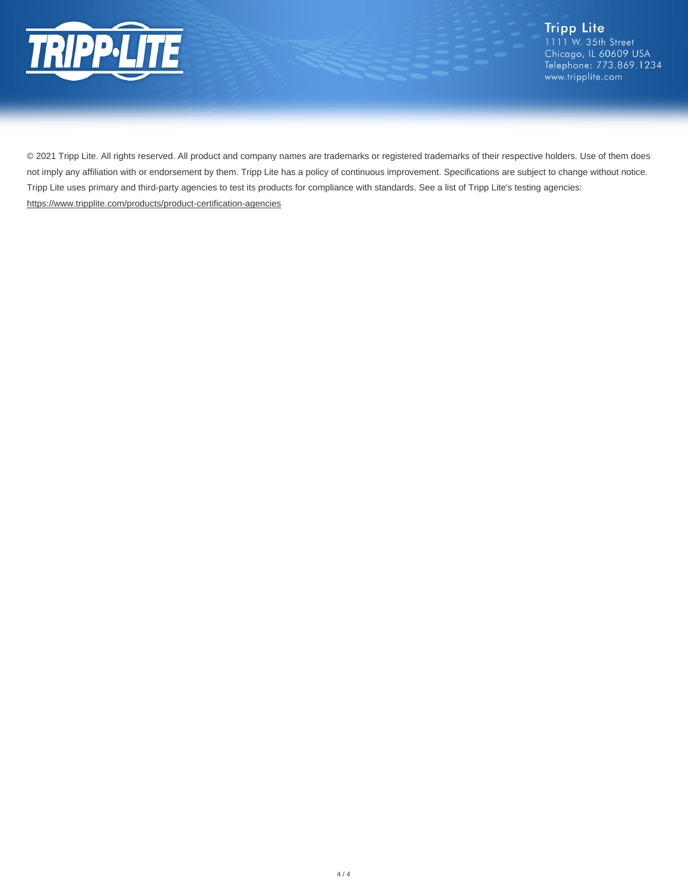

Tripp Lite<br>1111 W. 35th Street Chicago, IL 60609 USA Telephone: 773.869.1234 www.tripplite.com

© 2021 Tripp Lite. All rights reserved. All product and company names are trademarks or registered trademarks of their respective holders. Use of them does not imply any affiliation with or endorsement by them. Tripp Lite has a policy of continuous improvement. Specifications are subject to change without notice. Tripp Lite uses primary and third-party agencies to test its products for compliance with standards. See a list of Tripp Lite's testing agencies: <https://www.tripplite.com/products/product-certification-agencies>